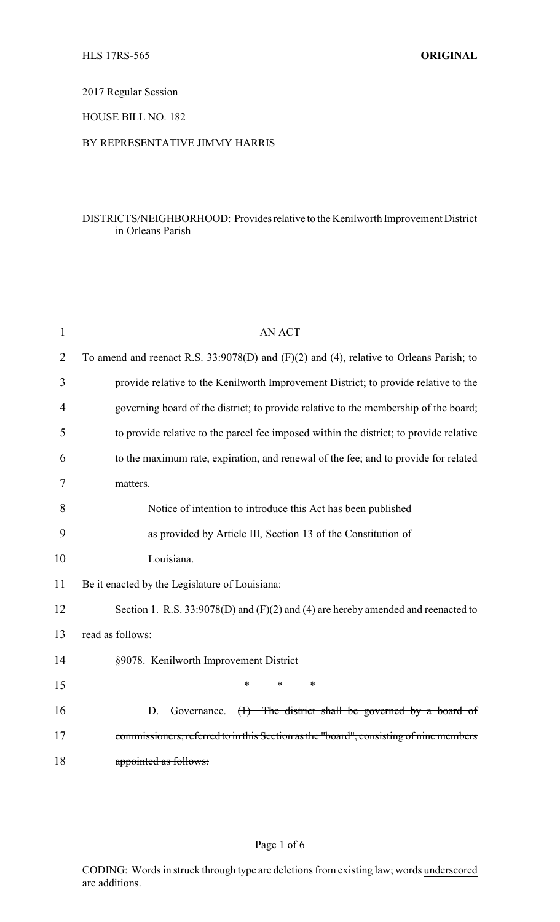2017 Regular Session

HOUSE BILL NO. 182

## BY REPRESENTATIVE JIMMY HARRIS

## DISTRICTS/NEIGHBORHOOD: Providesrelative to the Kenilworth Improvement District in Orleans Parish

| $\mathbf{1}$   | AN ACT                                                                                         |
|----------------|------------------------------------------------------------------------------------------------|
| $\overline{2}$ | To amend and reenact R.S. $33:9078(D)$ and $(F)(2)$ and $(4)$ , relative to Orleans Parish; to |
| 3              | provide relative to the Kenilworth Improvement District; to provide relative to the            |
| 4              | governing board of the district; to provide relative to the membership of the board;           |
| 5              | to provide relative to the parcel fee imposed within the district; to provide relative         |
| 6              | to the maximum rate, expiration, and renewal of the fee; and to provide for related            |
| 7              | matters.                                                                                       |
| 8              | Notice of intention to introduce this Act has been published                                   |
| 9              | as provided by Article III, Section 13 of the Constitution of                                  |
| 10             | Louisiana.                                                                                     |
| 11             | Be it enacted by the Legislature of Louisiana:                                                 |
| 12             | Section 1. R.S. $33:9078(D)$ and $(F)(2)$ and $(4)$ are hereby amended and reenacted to        |
| 13             | read as follows:                                                                               |
| 14             | §9078. Kenilworth Improvement District                                                         |
| 15             | $\ast$<br>*<br>*                                                                               |
| 16             | D.<br>$(1)$ The district shall be governed by a board of<br>Governance.                        |
| 17             | commissioners, referred to in this Section as the "board", consisting of nine members          |
| 18             | appointed as follows:                                                                          |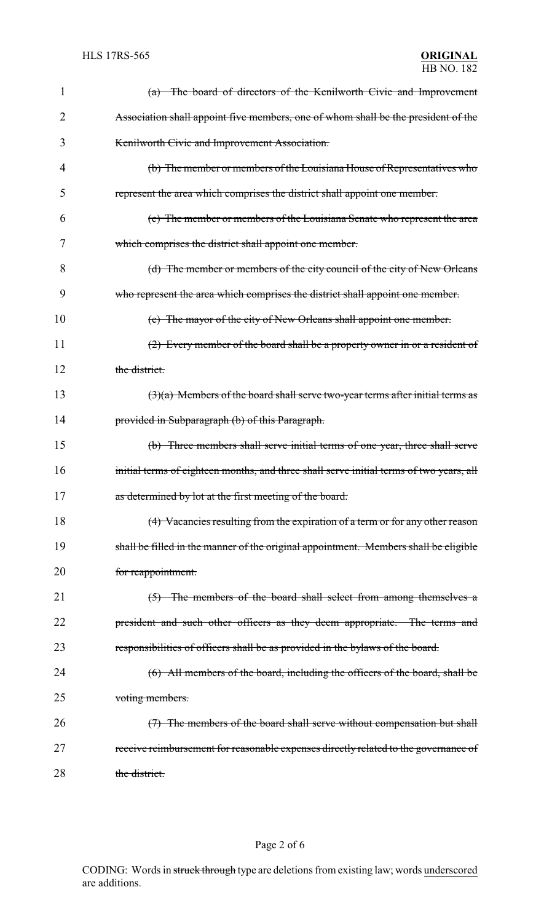| 1  | (a) The board of directors of the Kenilworth Civic and Improvement                      |
|----|-----------------------------------------------------------------------------------------|
| 2  | Association shall appoint five members, one of whom shall be the president of the       |
| 3  | Kenilworth Civic and Improvement Association.                                           |
| 4  | (b) The member or members of the Louisiana House of Representatives who                 |
| 5  | represent the area which comprises the district shall appoint one member.               |
| 6  | (c) The member or members of the Louisiana Senate who represent the area                |
| 7  | which comprises the district shall appoint one member.                                  |
| 8  | (d) The member or members of the city council of the city of New Orleans                |
| 9  | who represent the area which comprises the district shall appoint one member.           |
| 10 | (e) The mayor of the city of New Orleans shall appoint one member.                      |
| 11 | (2) Every member of the board shall be a property owner in or a resident of             |
| 12 | the district.                                                                           |
| 13 | $(3)(a)$ Members of the board shall serve two-year terms after initial terms as         |
| 14 | provided in Subparagraph (b) of this Paragraph.                                         |
| 15 | (b) Three members shall serve initial terms of one year, three shall serve              |
| 16 | initial terms of eighteen months, and three shall serve initial terms of two years, all |
| 17 | as determined by lot at the first meeting of the board.                                 |
| 18 | (4) Vacancies resulting from the expiration of a term or for any other reason           |
| 19 | shall be filled in the manner of the original appointment. Members shall be eligible    |
| 20 | for reappointment.                                                                      |
| 21 | $(5)$ The members of the board shall select from among themselves a                     |
| 22 | president and such other officers as they deem appropriate. The terms and               |
| 23 | responsibilities of officers shall be as provided in the bylaws of the board.           |
| 24 | (6) All members of the board, including the officers of the board, shall be             |
| 25 | voting members.                                                                         |
| 26 | (7) The members of the board shall serve without compensation but shall                 |
| 27 | receive reimbursement for reasonable expenses directly related to the governance of     |
| 28 | the district.                                                                           |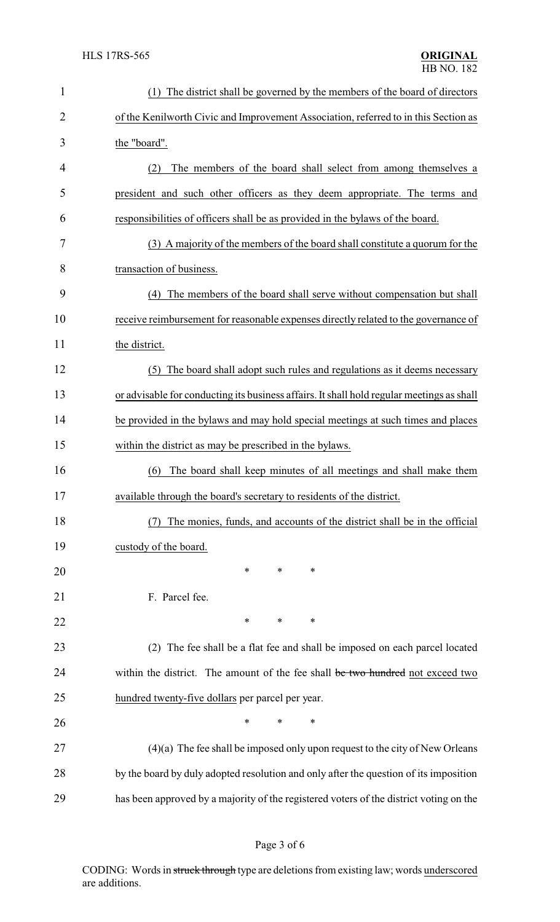| $\mathbf{1}$   | The district shall be governed by the members of the board of directors<br>(1)            |
|----------------|-------------------------------------------------------------------------------------------|
| $\overline{2}$ | of the Kenilworth Civic and Improvement Association, referred to in this Section as       |
| 3              | the "board".                                                                              |
| 4              | The members of the board shall select from among themselves a<br>(2)                      |
| 5              | president and such other officers as they deem appropriate. The terms and                 |
| 6              | responsibilities of officers shall be as provided in the bylaws of the board.             |
| 7              | (3) A majority of the members of the board shall constitute a quorum for the              |
| 8              | transaction of business.                                                                  |
| 9              | The members of the board shall serve without compensation but shall<br>(4)                |
| 10             | receive reimbursement for reasonable expenses directly related to the governance of       |
| 11             | the district.                                                                             |
| 12             | The board shall adopt such rules and regulations as it deems necessary<br>(5)             |
| 13             | or advisable for conducting its business affairs. It shall hold regular meetings as shall |
| 14             | be provided in the bylaws and may hold special meetings at such times and places          |
| 15             | within the district as may be prescribed in the bylaws.                                   |
| 16             | The board shall keep minutes of all meetings and shall make them<br>(6)                   |
| 17             | available through the board's secretary to residents of the district.                     |
| 18             | The monies, funds, and accounts of the district shall be in the official                  |
| 19             | custody of the board.                                                                     |
| 20             | *<br>∗<br>∗                                                                               |
| 21             | F. Parcel fee.                                                                            |
| 22             | ∗<br>∗<br>∗                                                                               |
| 23             | (2) The fee shall be a flat fee and shall be imposed on each parcel located               |
| 24             | within the district. The amount of the fee shall be two hundred not exceed two            |
| 25             | hundred twenty-five dollars per parcel per year.                                          |
| 26             | *<br>$\ast$<br>∗                                                                          |
| 27             | $(4)(a)$ The fee shall be imposed only upon request to the city of New Orleans            |
| 28             | by the board by duly adopted resolution and only after the question of its imposition     |
| 29             | has been approved by a majority of the registered voters of the district voting on the    |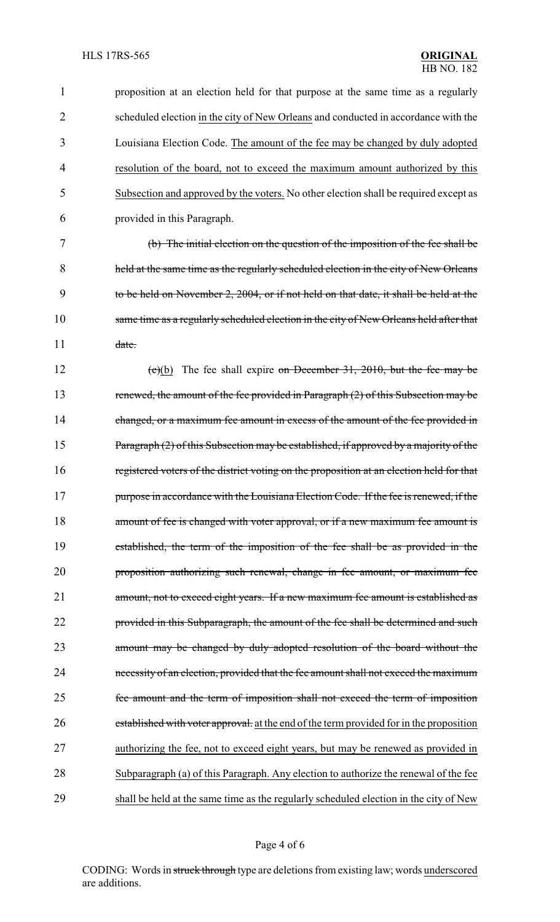proposition at an election held for that purpose at the same time as a regularly scheduled election in the city of New Orleans and conducted in accordance with the Louisiana Election Code. The amount of the fee may be changed by duly adopted resolution of the board, not to exceed the maximum amount authorized by this Subsection and approved by the voters. No other election shall be required except as provided in this Paragraph. (b) The initial election on the question of the imposition of the fee shall be held at the same time as the regularly scheduled election in the city of New Orleans to be held on November 2, 2004, or if not held on that date, it shall be held at the same time as a regularly scheduled election in the city of New Orleans held after that 11 date. 12 (c)(b) The fee shall expire on December 31, 2010, but the fee may be 13 renewed, the amount of the fee provided in Paragraph (2) of this Subsection may be 14 changed, or a maximum fee amount in excess of the amount of the fee provided in 15 Paragraph (2) of this Subsection may be established, if approved by a majority of the registered voters of the district voting on the proposition at an election held for that 17 purpose in accordance with the Louisiana Election Code. If the fee is renewed, if the 18 amount of fee is changed with voter approval, or if a new maximum fee amount is established, the term of the imposition of the fee shall be as provided in the proposition authorizing such renewal, change in fee amount, or maximum fee amount, not to exceed eight years. If a new maximum fee amount is established as 22 provided in this Subparagraph, the amount of the fee shall be determined and such amount may be changed by duly adopted resolution of the board without the necessity of an election, provided that the fee amount shall not exceed the maximum fee amount and the term of imposition shall not exceed the term of imposition 26 established with voter approval. at the end of the term provided for in the proposition authorizing the fee, not to exceed eight years, but may be renewed as provided in Subparagraph (a) of this Paragraph. Any election to authorize the renewal of the fee shall be held at the same time as the regularly scheduled election in the city of New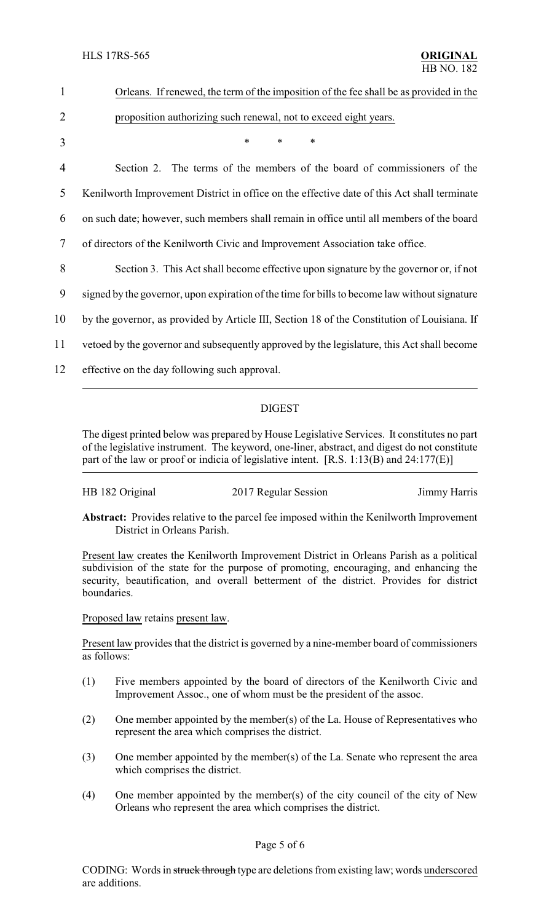| 1              | Orleans. If renewed, the term of the imposition of the fee shall be as provided in the        |
|----------------|-----------------------------------------------------------------------------------------------|
| $\overline{2}$ | proposition authorizing such renewal, not to exceed eight years.                              |
| 3              | $\ast$<br>$\ast$<br>*                                                                         |
| 4              | Section 2. The terms of the members of the board of commissioners of the                      |
| 5              | Kenilworth Improvement District in office on the effective date of this Act shall terminate   |
| 6              | on such date; however, such members shall remain in office until all members of the board     |
| 7              | of directors of the Kenilworth Civic and Improvement Association take office.                 |
| 8              | Section 3. This Act shall become effective upon signature by the governor or, if not          |
| 9              | signed by the governor, upon expiration of the time for bills to become law without signature |
| 10             | by the governor, as provided by Article III, Section 18 of the Constitution of Louisiana. If  |
| 11             | vetoed by the governor and subsequently approved by the legislature, this Act shall become    |
| 12             | effective on the day following such approval.                                                 |
|                |                                                                                               |

## DIGEST

The digest printed below was prepared by House Legislative Services. It constitutes no part of the legislative instrument. The keyword, one-liner, abstract, and digest do not constitute part of the law or proof or indicia of legislative intent. [R.S. 1:13(B) and 24:177(E)]

| HB 182 Original<br>2017 Regular Session | Jimmy Harris |
|-----------------------------------------|--------------|
|-----------------------------------------|--------------|

**Abstract:** Provides relative to the parcel fee imposed within the Kenilworth Improvement District in Orleans Parish.

Present law creates the Kenilworth Improvement District in Orleans Parish as a political subdivision of the state for the purpose of promoting, encouraging, and enhancing the security, beautification, and overall betterment of the district. Provides for district boundaries.

Proposed law retains present law.

Present law provides that the district is governed by a nine-member board of commissioners as follows:

- (1) Five members appointed by the board of directors of the Kenilworth Civic and Improvement Assoc., one of whom must be the president of the assoc.
- (2) One member appointed by the member(s) of the La. House of Representatives who represent the area which comprises the district.
- (3) One member appointed by the member(s) of the La. Senate who represent the area which comprises the district.
- (4) One member appointed by the member(s) of the city council of the city of New Orleans who represent the area which comprises the district.